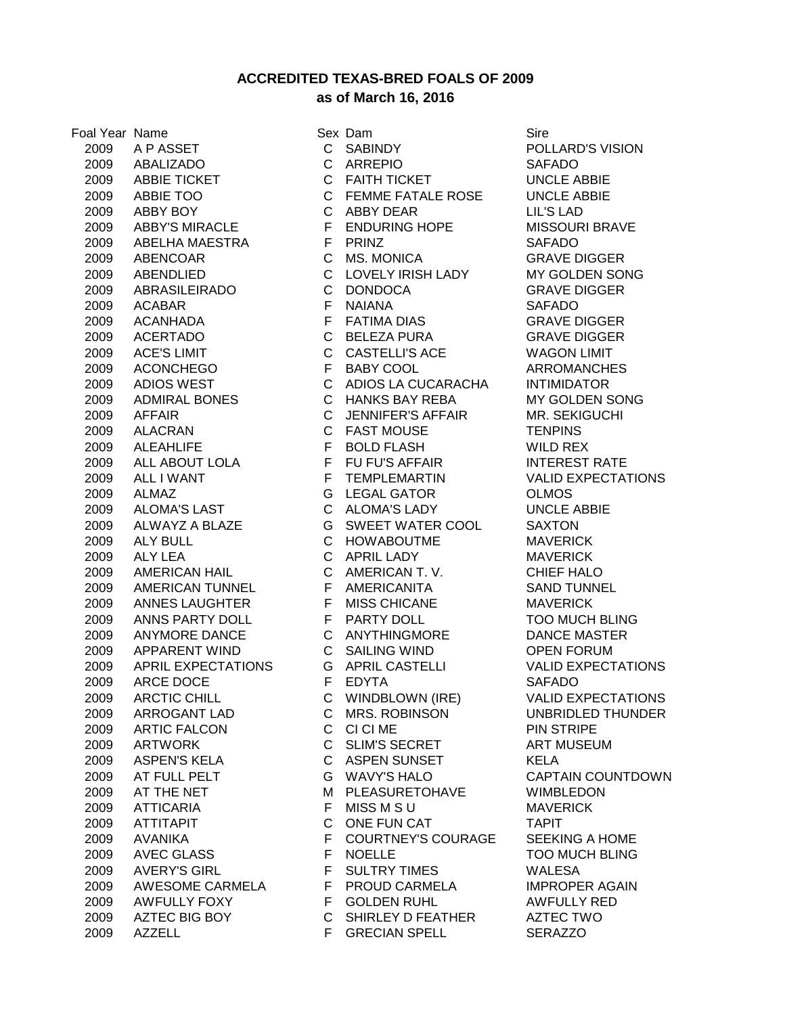**ACCREDITED TEXAS-BRED FOALS OF 2009**

## **as of March 16, 2016**

 A P ASSET C SABINDY POLLARD'S VISION ABALIZADO C ARREPIO SAFADO ABBIE TICKET C FAITH TICKET UNCLE ABBIE ABBIE TOO C FEMME FATALE ROSE UNCLE ABBIE ABBY BOY C ABBY DEAR LIL'S LAD 2009 ABBY'S MIRACLE F ENDURING HOPE MISSOURI BRAVE ABELHA MAESTRA F PRINZ SAFADO ABENCOAR C MS. MONICA GRAVE DIGGER ABENDLIED C LOVELY IRISH LADY MY GOLDEN SONG ABRASILEIRADO C DONDOCA GRAVE DIGGER ACABAR F NAIANA SAFADO ACANHADA F FATIMA DIAS GRAVE DIGGER ACERTADO C BELEZA PURA GRAVE DIGGER ACE'S LIMIT C CASTELLI'S ACE WAGON LIMIT ACONCHEGO F BABY COOL ARROMANCHES ADIOS WEST C ADIOS LA CUCARACHA INTIMIDATOR ADMIRAL BONES C HANKS BAY REBA MY GOLDEN SONG AFFAIR C JENNIFER'S AFFAIR MR. SEKIGUCHI ALACRAN C FAST MOUSE TENPINS 2009 ALEAHLIFE F BOLD FLASH WILD REX 2009 ALL ABOUT LOLA F FU FU'S AFFAIR INTEREST RATE 2009 ALL I WANT F TEMPLEMARTIN VALID EXPECTATIONS ALMAZ G LEGAL GATOR OLMOS ALOMA'S LAST C ALOMA'S LADY UNCLE ABBIE ALWAYZ A BLAZE G SWEET WATER COOL SAXTON ALY BULL C HOWABOUTME MAVERICK ALY LEA C APRIL LADY MAVERICK AMERICAN HAIL C AMERICAN T. V. CHIEF HALO AMERICAN TUNNEL F AMERICANITA SAND TUNNEL ANNES LAUGHTER F MISS CHICANE MAVERICK ANNS PARTY DOLL F PARTY DOLL TOO MUCH BLING ANYMORE DANCE C ANYTHINGMORE DANCE MASTER APPARENT WIND C SAILING WIND OPEN FORUM APRIL EXPECTATIONS G APRIL CASTELLI VALID EXPECTATIONS 2009 ARCE DOCE FEDYTA SAFADO ARCTIC CHILL C WINDBLOWN (IRE) VALID EXPECTATIONS ARROGANT LAD C MRS. ROBINSON UNBRIDLED THUNDER ARTIC FALCON C CI CI ME PIN STRIPE 2009 ARTWORK C SLIM'S SECRET ART MUSEUM ASPEN'S KELA C ASPEN SUNSET KELA AT FULL PELT G WAVY'S HALO CAPTAIN COUNTDOWN 2009 AT THE NET M PLEASURETOHAVE WIMBLEDON ATTICARIA F MISS M S U MAVERICK ATTITAPIT C ONE FUN CAT TAPIT AVANIKA F COURTNEY'S COURAGE SEEKING A HOME 2009 AVEC GLASS F NOELLE TOO MUCH BLING AVERY'S GIRL F SULTRY TIMES WALESA AWESOME CARMELA F PROUD CARMELA IMPROPER AGAIN 2009 AWFULLY FOXY F GOLDEN RUHL AWFULLY RED AZTEC BIG BOY C SHIRLEY D FEATHER AZTEC TWO 2009 AZZELL F GRECIAN SPELL SERAZZO

Foal Year Name Sex Dam Sire Sex Dam Sire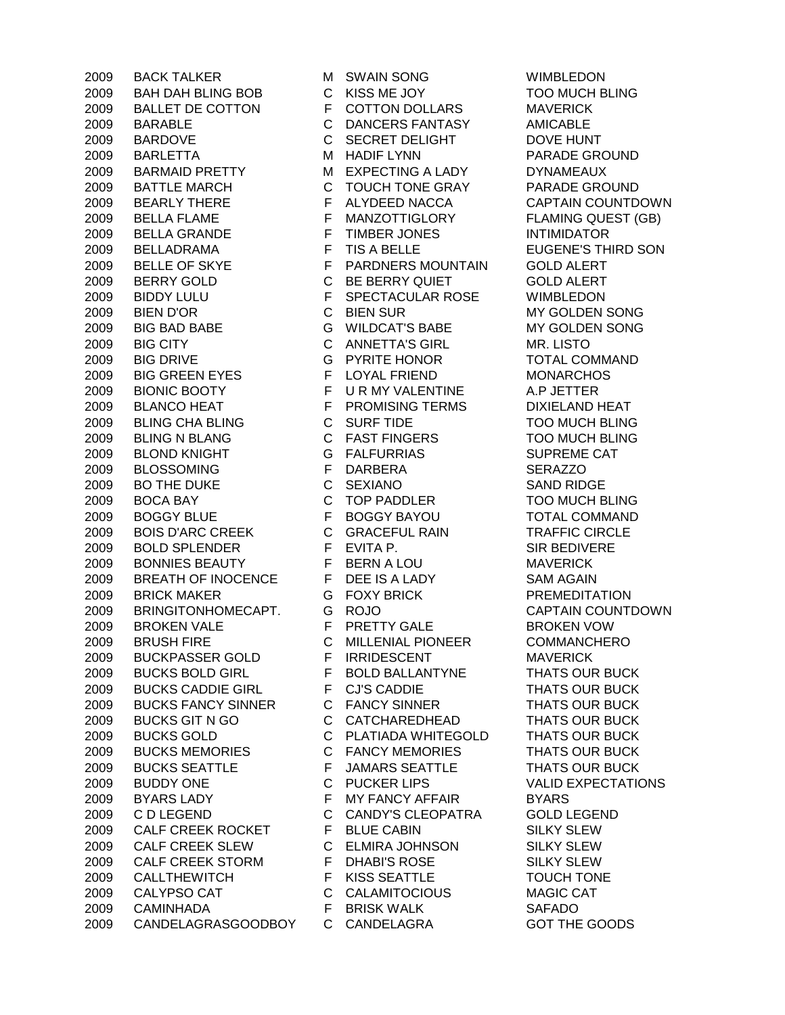BACK TALKER M SWAIN SONG WIMBLEDON BAH DAH BLING BOB C KISS ME JOY TOO MUCH BLING BALLET DE COTTON F COTTON DOLLARS MAVERICK BARABLE C DANCERS FANTASY AMICABLE BARDOVE C SECRET DELIGHT DOVE HUNT BARLETTA M HADIF LYNN PARADE GROUND 2009 BARMAID PRETTY MEXPECTING A LADY DYNAMEAUX BATTLE MARCH C TOUCH TONE GRAY PARADE GROUND BEARLY THERE F ALYDEED NACCA CAPTAIN COUNTDOWN BELLA FLAME F MANZOTTIGLORY FLAMING QUEST (GB) BELLA GRANDE F TIMBER JONES INTIMIDATOR 2009 BELLADRAMA F TIS A BELLE EUGENE'S THIRD SON BELLE OF SKYE F PARDNERS MOUNTAIN GOLD ALERT BERRY GOLD C BE BERRY QUIET GOLD ALERT BIDDY LULU F SPECTACULAR ROSE WIMBLEDON BIEN D'OR C BIEN SUR MY GOLDEN SONG BIG BAD BABE G WILDCAT'S BABE MY GOLDEN SONG BIG CITY C ANNETTA'S GIRL MR. LISTO BIG DRIVE G PYRITE HONOR TOTAL COMMAND BIG GREEN EYES F LOYAL FRIEND MONARCHOS BIONIC BOOTY F U R MY VALENTINE A.P JETTER 2009 BLANCO HEAT F PROMISING TERMS DIXIELAND HEAT BLING CHA BLING C SURF TIDE TOO MUCH BLING 2009 BLING N BLANG C FAST FINGERS TOO MUCH BLING BLOND KNIGHT G FALFURRIAS SUPREME CAT BLOSSOMING F DARBERA SERAZZO 2009 BO THE DUKE C SEXIANO SAND RIDGE BOCA BAY C TOP PADDLER TOO MUCH BLING BOGGY BLUE F BOGGY BAYOU TOTAL COMMAND BOIS D'ARC CREEK C GRACEFUL RAIN TRAFFIC CIRCLE BOLD SPLENDER F EVITA P. SIR BEDIVERE BONNIES BEAUTY F BERN A LOU MAVERICK BREATH OF INOCENCE F DEE IS A LADY SAM AGAIN BRICK MAKER G FOXY BRICK PREMEDITATION BRINGITONHOMECAPT. G ROJO CAPTAIN COUNTDOWN BROKEN VALE F PRETTY GALE BROKEN VOW BRUSH FIRE C MILLENIAL PIONEER COMMANCHERO BUCKPASSER GOLD F IRRIDESCENT MAVERICK BUCKS BOLD GIRL F BOLD BALLANTYNE THATS OUR BUCK BUCKS CADDIE GIRL F CJ'S CADDIE THATS OUR BUCK BUCKS FANCY SINNER C FANCY SINNER THATS OUR BUCK 2009 BUCKS GIT N GO **CATCHAREDHEAD** THATS OUR BUCK BUCKS GOLD C PLATIADA WHITEGOLD THATS OUR BUCK BUCKS MEMORIES C FANCY MEMORIES THATS OUR BUCK 2009 BUCKS SEATTLE F JAMARS SEATTLE THATS OUR BUCK BUDDY ONE C PUCKER LIPS VALID EXPECTATIONS 2009 BYARS LADY F MY FANCY AFFAIR BYARS C D LEGEND C CANDY'S CLEOPATRA GOLD LEGEND 2009 CALF CREEK ROCKET F BLUE CABIN SILKY SLEW CALF CREEK SLEW C ELMIRA JOHNSON SILKY SLEW CALF CREEK STORM F DHABI'S ROSE SILKY SLEW CALLTHEWITCH F KISS SEATTLE TOUCH TONE CALYPSO CAT C CALAMITOCIOUS MAGIC CAT CAMINHADA F BRISK WALK SAFADO 2009 CANDELAGRASGOODBOY C CANDELAGRA GOT THE GOODS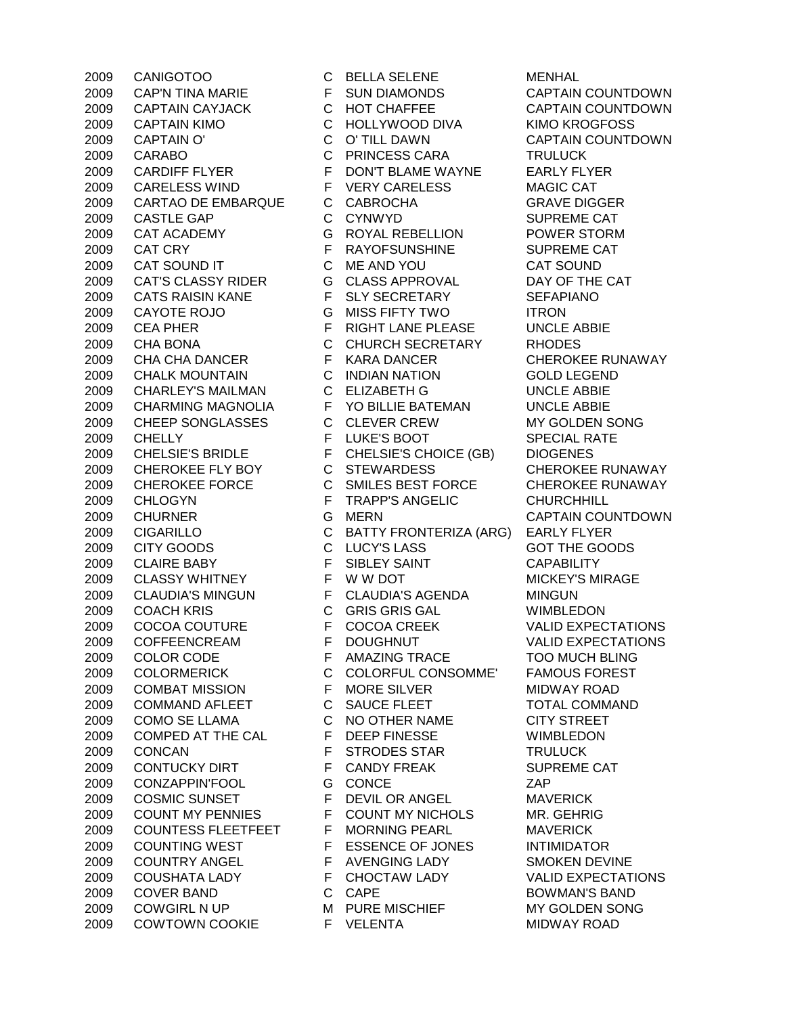CANIGOTOO C BELLA SELENE MENHAL CAP'N TINA MARIE F SUN DIAMONDS CAPTAIN COUNTDOWN CAPTAIN CAYJACK C HOT CHAFFEE CAPTAIN COUNTDOWN CAPTAIN KIMO C HOLLYWOOD DIVA KIMO KROGFOSS 2009 CAPTAIN O' C O' TILL DAWN CAPTAIN COUNTDOWN CARABO C PRINCESS CARA TRULUCK CARDIFF FLYER F DON'T BLAME WAYNE EARLY FLYER CARELESS WIND F VERY CARELESS MAGIC CAT CARTAO DE EMBARQUE C CABROCHA GRAVE DIGGER 2009 CASTLE GAP C CYNWYD SUPREME CAT CAT ACADEMY G ROYAL REBELLION POWER STORM 2009 CAT CRY **FRAYOFSUNSHINE** SUPREME CAT CAT SOUND IT C ME AND YOU CAT SOUND CAT'S CLASSY RIDER G CLASS APPROVAL DAY OF THE CAT CATS RAISIN KANE F SLY SECRETARY SEFAPIANO 2009 CAYOTE ROJO G MISS FIFTY TWO ITRON CEA PHER F RIGHT LANE PLEASE UNCLE ABBIE CHA BONA C CHURCH SECRETARY RHODES CHA CHA DANCER F KARA DANCER CHEROKEE RUNAWAY CHALK MOUNTAIN C INDIAN NATION GOLD LEGEND CHARLEY'S MAILMAN C ELIZABETH G UNCLE ABBIE CHARMING MAGNOLIA F YO BILLIE BATEMAN UNCLE ABBIE CHEEP SONGLASSES C CLEVER CREW MY GOLDEN SONG 2009 CHELLY **FILUKE'S BOOT SPECIAL RATE**  CHELSIE'S BRIDLE F CHELSIE'S CHOICE (GB) DIOGENES 2009 CHEROKEE FLY BOY C STEWARDESS CHEROKEE RUNAWAY CHEROKEE FORCE C SMILES BEST FORCE CHEROKEE RUNAWAY CHLOGYN F TRAPP'S ANGELIC CHURCHHILL CHURNER G MERN CAPTAIN COUNTDOWN CIGARILLO C BATTY FRONTERIZA (ARG) EARLY FLYER 2009 CITY GOODS C LUCY'S LASS GOT THE GOODS CLAIRE BABY F SIBLEY SAINT CAPABILITY 2009 CLASSY WHITNEY F W W DOT F MICKEY'S MIRAGE CLAUDIA'S MINGUN F CLAUDIA'S AGENDA MINGUN COACH KRIS C GRIS GRIS GAL WIMBLEDON COCOA COUTURE F COCOA CREEK VALID EXPECTATIONS COFFEENCREAM F DOUGHNUT VALID EXPECTATIONS COLOR CODE F AMAZING TRACE TOO MUCH BLING COLORMERICK C COLORFUL CONSOMME' FAMOUS FOREST COMBAT MISSION F MORE SILVER MIDWAY ROAD COMMAND AFLEET C SAUCE FLEET TOTAL COMMAND COMO SE LLAMA C NO OTHER NAME CITY STREET COMPED AT THE CAL F DEEP FINESSE WIMBLEDON CONCAN F STRODES STAR TRULUCK 2009 CONTUCKY DIRT F CANDY FREAK SUPREME CAT CONZAPPIN'FOOL G CONCE ZAP 2009 COSMIC SUNSET F DEVIL OR ANGEL MAVERICK 2009 COUNT MY PENNIES FCOUNT MY NICHOLS MR. GEHRIG<br>2009 COUNTESS FLEETFEET F MORNING PFARI MAVERICK 2009 COUNTESS FLEETFEET F MORNING PEARL MAVERICK 2009 COUNTING WEST F ESSENCE OF JONES INTIMIDATOR COUNTRY ANGEL F AVENGING LADY SMOKEN DEVINE COUSHATA LADY F CHOCTAW LADY VALID EXPECTATIONS 2009 COVER BAND C CAPE BOWMAN'S BAND 2009 COWGIRL N UP M PURE MISCHIEF MY GOLDEN SONG COWTOWN COOKIE F VELENTA MIDWAY ROAD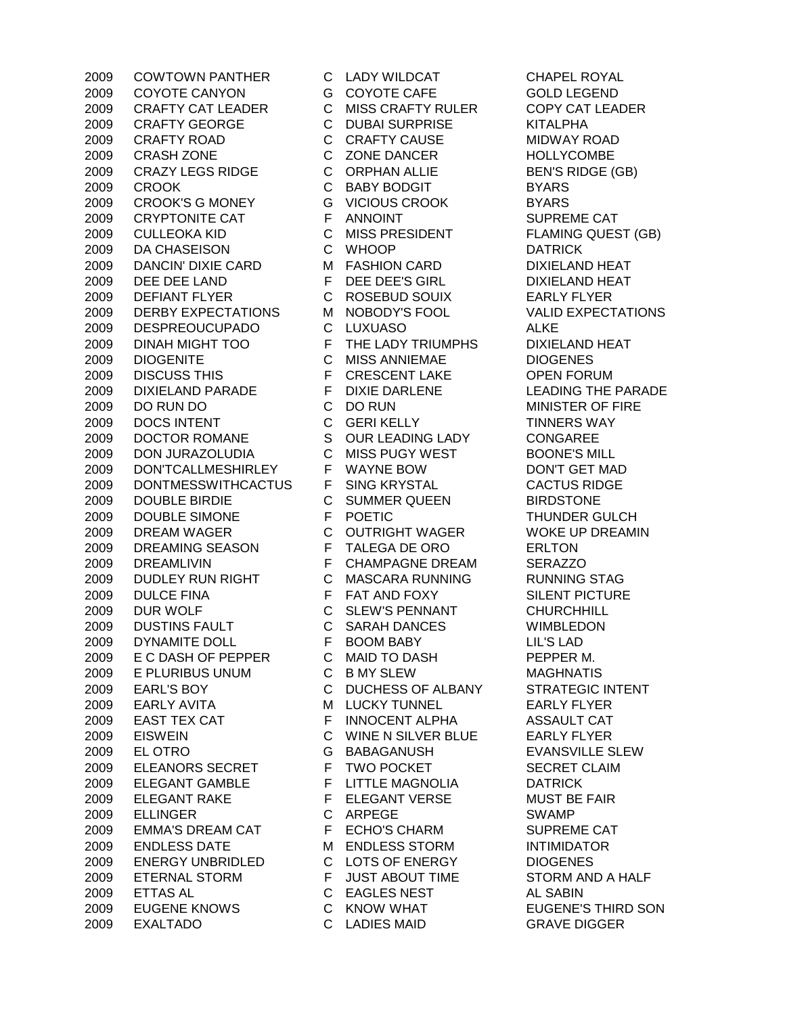COWTOWN PANTHER C LADY WILDCAT CHAPEL ROYAL COYOTE CANYON G COYOTE CAFE GOLD LEGEND CRAFTY CAT LEADER C MISS CRAFTY RULER COPY CAT LEADER CRAFTY GEORGE C DUBAI SURPRISE KITALPHA CRAFTY ROAD C CRAFTY CAUSE MIDWAY ROAD CRASH ZONE C ZONE DANCER HOLLYCOMBE 2009 CRAZY LEGS RIDGE C ORPHAN ALLIE BEN'S RIDGE (GB) CROOK C BABY BODGIT BYARS CROOK'S G MONEY G VICIOUS CROOK BYARS 2009 CRYPTONITE CAT F ANNOINT SUPREME CAT CULLEOKA KID C MISS PRESIDENT FLAMING QUEST (GB) DA CHASEISON C WHOOP DATRICK DANCIN' DIXIE CARD M FASHION CARD DIXIELAND HEAT DEE DEE LAND F DEE DEE'S GIRL DIXIELAND HEAT DEFIANT FLYER C ROSEBUD SOUIX EARLY FLYER DERBY EXPECTATIONS M NOBODY'S FOOL VALID EXPECTATIONS DESPREOUCUPADO C LUXUASO ALKE DINAH MIGHT TOO F THE LADY TRIUMPHS DIXIELAND HEAT DIOGENITE C MISS ANNIEMAE DIOGENES 2009 DISCUSS THIS F CRESCENT LAKE OPEN FORUM DIXIELAND PARADE F DIXIE DARLENE LEADING THE PARADE DO RUN DO C DO RUN MINISTER OF FIRE DOCS INTENT C GERI KELLY TINNERS WAY DOCTOR ROMANE S OUR LEADING LADY CONGAREE DON JURAZOLUDIA C MISS PUGY WEST BOONE'S MILL DON'TCALLMESHIRLEY F WAYNE BOW DON'T GET MAD DONTMESSWITHCACTUS F SING KRYSTAL CACTUS RIDGE DOUBLE BIRDIE C SUMMER QUEEN BIRDSTONE DOUBLE SIMONE F POETIC THUNDER GULCH DREAM WAGER C OUTRIGHT WAGER WOKE UP DREAMIN DREAMING SEASON F TALEGA DE ORO ERLTON DREAMLIVIN F CHAMPAGNE DREAM SERAZZO DUDLEY RUN RIGHT C MASCARA RUNNING RUNNING STAG DULCE FINA F FAT AND FOXY SILENT PICTURE 2009 DUR WOLF C SLEW'S PENNANT CHURCHHILL DUSTINS FAULT C SARAH DANCES WIMBLEDON DYNAMITE DOLL F BOOM BABY LIL'S LAD E C DASH OF PEPPER C MAID TO DASH PEPPER M. E PLURIBUS UNUM C B MY SLEW MAGHNATIS EARL'S BOY C DUCHESS OF ALBANY STRATEGIC INTENT 2009 EARLY AVITA M LUCKY TUNNEL EARLY FLYER 2009 EAST TEX CAT FINNOCENT ALPHA ASSAULT CAT EISWEIN C WINE N SILVER BLUE EARLY FLYER EL OTRO G BABAGANUSH EVANSVILLE SLEW 2009 ELEANORS SECRET F TWO POCKET SECRET CLAIM ELEGANT GAMBLE F LITTLE MAGNOLIA DATRICK ELEGANT RAKE F ELEGANT VERSE MUST BE FAIR ELLINGER C ARPEGE SWAMP 2009 EMMA'S DREAM CAT FECHO'S CHARM SUPREME CAT ENDLESS DATE M ENDLESS STORM INTIMIDATOR ENERGY UNBRIDLED C LOTS OF ENERGY DIOGENES 2009 ETERNAL STORM F JUST ABOUT TIME STORM AND A HALF ETTAS AL C EAGLES NEST AL SABIN EUGENE KNOWS C KNOW WHAT EUGENE'S THIRD SON EXALTADO C LADIES MAID GRAVE DIGGER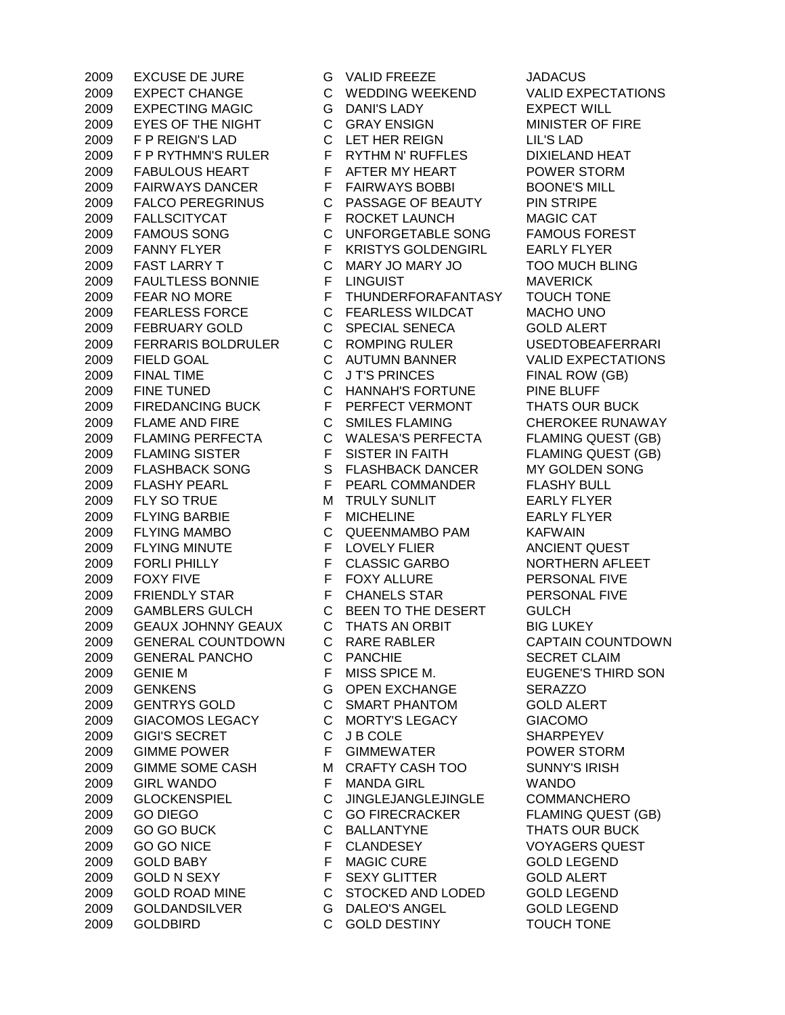EXPECT CHANGE C WEDDING WEEKEND VALID EXPECTATIONS EXPECTING MAGIC G DANI'S LADY EXPECT WILL EYES OF THE NIGHT C GRAY ENSIGN MINISTER OF FIRE F P REIGN'S LAD C LET HER REIGN LIL'S LAD 2009 F P RYTHMN'S RULER F RYTHM N' RUFFLES DIXIELAND HEAT 2009 FABULOUS HEART F AFTER MY HEART POWER STORM FAIRWAYS DANCER F FAIRWAYS BOBBI BOONE'S MILL FALCO PEREGRINUS C PASSAGE OF BEAUTY PIN STRIPE 2009 FALLSCITYCAT F ROCKET LAUNCH MAGIC CAT FAMOUS SONG C UNFORGETABLE SONG FAMOUS FOREST 2009 FANNY FLYER F KRISTYS GOLDENGIRL EARLY FLYER FAST LARRY T C MARY JO MARY JO TOO MUCH BLING 2009 FAULTLESS BONNIE FUNGUIST FUNGUIST MAVERICK 2009 FEAR NO MORE F THUNDERFORAFANTASY TOUCH TONE FEARLESS FORCE C FEARLESS WILDCAT MACHO UNO FEBRUARY GOLD C SPECIAL SENECA GOLD ALERT FERRARIS BOLDRULER C ROMPING RULER USEDTOBEAFERRARI 2009 FIELD GOAL C AUTUMN BANNER VALID EXPECTATIONS 2009 FINAL TIME C J T'S PRINCES FINAL ROW (GB) FINE TUNED C HANNAH'S FORTUNE PINE BLUFF FIREDANCING BUCK F PERFECT VERMONT THATS OUR BUCK FLAME AND FIRE C SMILES FLAMING CHEROKEE RUNAWAY FLAMING PERFECTA C WALESA'S PERFECTA FLAMING QUEST (GB) 2009 FLAMING SISTER F SISTER IN FAITH FLAMING QUEST (GB) 2009 FLASHBACK SONG SPLASHBACK DANCER MY GOLDEN SONG FLASHY PEARL F PEARL COMMANDER FLASHY BULL 2009 FLY SO TRUE M TRULY SUNLIT EARLY FLYER 2009 FLYING BARBIE F MICHELINE EARLY FLYER FLYING MAMBO C QUEENMAMBO PAM KAFWAIN FLYING MINUTE F LOVELY FLIER ANCIENT QUEST 2009 FORLI PHILLY F CLASSIC GARBO NORTHERN AFLEET 2009 FOXY FIVE FOXY ALLURE PERSONAL FIVE FRIENDLY STAR F CHANELS STAR PERSONAL FIVE GAMBLERS GULCH C BEEN TO THE DESERT GULCH GEAUX JOHNNY GEAUX C THATS AN ORBIT BIG LUKEY GENERAL COUNTDOWN C RARE RABLER CAPTAIN COUNTDOWN GENERAL PANCHO C PANCHIE SECRET CLAIM GENIE M F MISS SPICE M. EUGENE'S THIRD SON GENKENS G OPEN EXCHANGE SERAZZO GENTRYS GOLD C SMART PHANTOM GOLD ALERT GIACOMOS LEGACY C MORTY'S LEGACY GIACOMO 2009 GIGI'S SECRET C JB COLE SHARPEYEV GIMME POWER F GIMMEWATER POWER STORM GIMME SOME CASH M CRAFTY CASH TOO SUNNY'S IRISH GIRL WANDO F MANDA GIRL WANDO GLOCKENSPIEL C JINGLEJANGLEJINGLE COMMANCHERO 2009 GO DIEGO C GO FIRECRACKER FLAMING QUEST (GB) 2009 GO GO BUCK C BALLANTYNE THATS OUR BUCK 2009 GO GO NICE THE CLANDESEY THE VOYAGERS QUEST GOLD BABY F MAGIC CURE GOLD LEGEND 2009 GOLD N SEXY GLITTER GOLD ALERT GOLD ROAD MINE C STOCKED AND LODED GOLD LEGEND GOLDANDSILVER G DALEO'S ANGEL GOLD LEGEND GOLDBIRD C GOLD DESTINY TOUCH TONE

EXCUSE DE JURE G VALID FREEZE JADACUS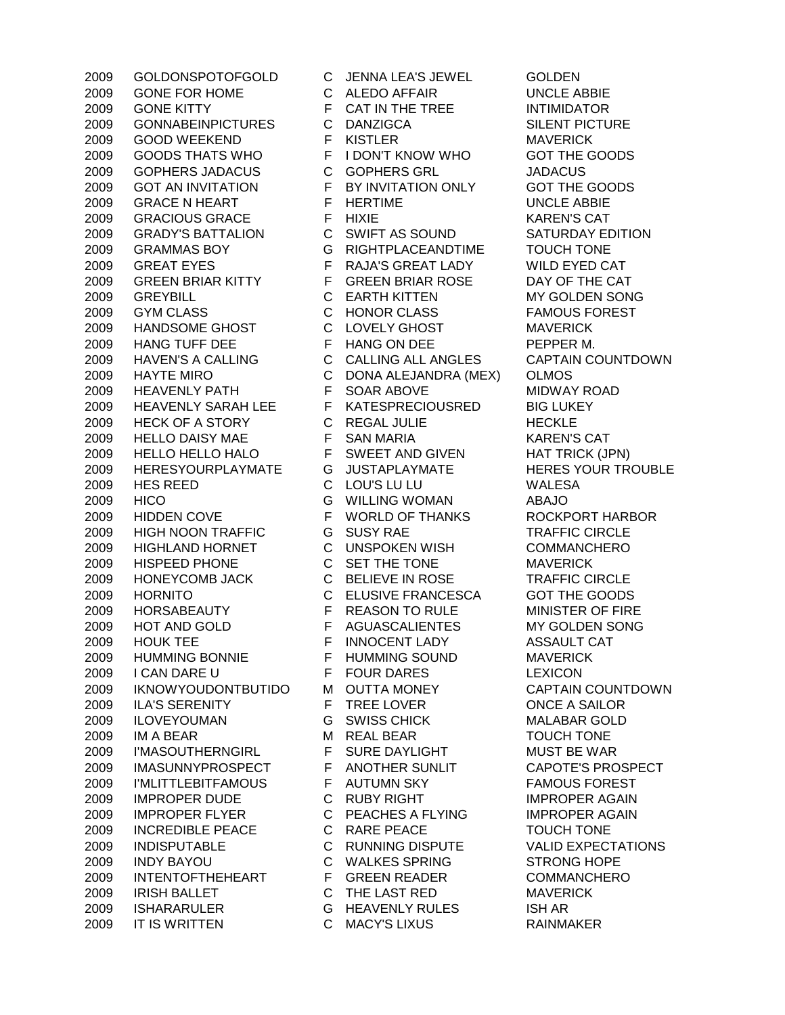GOLDONSPOTOFGOLD C JENNA LEA'S JEWEL GOLDEN GONE FOR HOME C ALEDO AFFAIR UNCLE ABBIE 2009 GONE KITTY F CAT IN THE TREE INTIMIDATOR GONNABEINPICTURES C DANZIGCA SILENT PICTURE GOOD WEEKEND F KISTLER MAVERICK GOODS THATS WHO F I DON'T KNOW WHO GOT THE GOODS GOPHERS JADACUS C GOPHERS GRL JADACUS GOT AN INVITATION F BY INVITATION ONLY GOT THE GOODS GRACE N HEART F HERTIME UNCLE ABBIE GRACIOUS GRACE F HIXIE KAREN'S CAT GRADY'S BATTALION C SWIFT AS SOUND SATURDAY EDITION GRAMMAS BOY G RIGHTPLACEANDTIME TOUCH TONE 2009 GREAT EYES FRAJA'S GREAT LADY WILD EYED CAT 2009 GREEN BRIAR KITTY F GREEN BRIAR ROSE DAY OF THE CAT GREYBILL C EARTH KITTEN MY GOLDEN SONG GYM CLASS C HONOR CLASS FAMOUS FOREST HANDSOME GHOST C LOVELY GHOST MAVERICK 2009 HANG TUFF DEE FHANG ON DEE PEPPER M. HAVEN'S A CALLING C CALLING ALL ANGLES CAPTAIN COUNTDOWN HAYTE MIRO C DONA ALEJANDRA (MEX) OLMOS 2009 HEAVENLY PATH F SOAR ABOVE MIDWAY ROAD 2009 HEAVENLY SARAH LEE F KATESPRECIOUSRED BIG LUKEY 2009 HECK OF A STORY C REGAL JULIE HECKLE 2009 HELLO DAISY MAE F SAN MARIA F SAN MARIA KAREN'S CAT HELLO HELLO HALO F SWEET AND GIVEN HAT TRICK (JPN) 2009 HERESYOURPLAYMATE G JUSTAPLAYMATE HERES YOUR TROUBLE HES REED C LOU'S LU LU WALESA HICO G WILLING WOMAN ABAJO HIDDEN COVE F WORLD OF THANKS ROCKPORT HARBOR HIGH NOON TRAFFIC G SUSY RAE TRAFFIC CIRCLE HIGHLAND HORNET C UNSPOKEN WISH COMMANCHERO HISPEED PHONE C SET THE TONE MAVERICK HONEYCOMB JACK C BELIEVE IN ROSE TRAFFIC CIRCLE HORNITO C ELUSIVE FRANCESCA GOT THE GOODS 2009 HORSABEAUTY FREASON TO RULE MINISTER OF FIRE HOT AND GOLD F AGUASCALIENTES MY GOLDEN SONG 2009 HOUK TEE FINNOCENT LADY ASSAULT CAT HUMMING BONNIE F HUMMING SOUND MAVERICK I CAN DARE U F FOUR DARES LEXICON IKNOWYOUDONTBUTIDO M OUTTA MONEY CAPTAIN COUNTDOWN 2009 ILA'S SERENITY F TREE LOVER CONCE A SAILOR ILOVEYOUMAN G SWISS CHICK MALABAR GOLD IM A BEAR M REAL BEAR TOUCH TONE 2009 I'MASOUTHERNGIRL F SURE DAYLIGHT MUST BE WAR IMASUNNYPROSPECT F ANOTHER SUNLIT CAPOTE'S PROSPECT I'MLITTLEBITFAMOUS F AUTUMN SKY FAMOUS FOREST 2009 IMPROPER DUDE C RUBY RIGHT IMPROPER AGAIN IMPROPER FLYER C PEACHES A FLYING IMPROPER AGAIN INCREDIBLE PEACE C RARE PEACE TOUCH TONE INDISPUTABLE C RUNNING DISPUTE VALID EXPECTATIONS INDY BAYOU C WALKES SPRING STRONG HOPE INTENTOFTHEHEART F GREEN READER COMMANCHERO IRISH BALLET C THE LAST RED MAVERICK ISHARARULER G HEAVENLY RULES ISH AR IT IS WRITTEN C MACY'S LIXUS RAINMAKER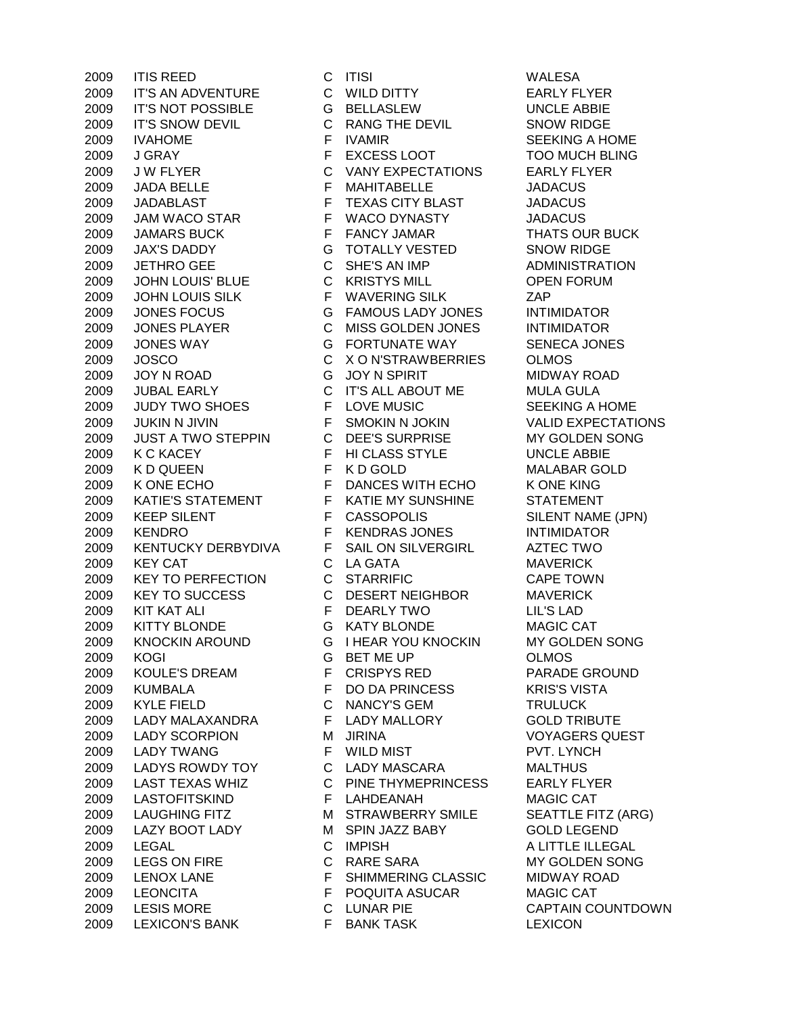IT'S AN ADVENTURE C WILD DITTY EARLY FLYER IT'S NOT POSSIBLE G BELLASLEW UNCLE ABBIE IT'S SNOW DEVIL C RANG THE DEVIL SNOW RIDGE 2009 IVAHOME F IVAMIR SEEKING A HOME J GRAY F EXCESS LOOT TOO MUCH BLING J W FLYER C VANY EXPECTATIONS EARLY FLYER JADA BELLE F MAHITABELLE JADACUS JADABLAST F TEXAS CITY BLAST JADACUS 2009 JAM WACO STAR F WACO DYNASTY JADACUS 2009 JAMARS BUCK FRANCY JAMAR THATS OUR BUCK JAX'S DADDY G TOTALLY VESTED SNOW RIDGE JETHRO GEE C SHE'S AN IMP ADMINISTRATION JOHN LOUIS' BLUE C KRISTYS MILL OPEN FORUM JOHN LOUIS SILK F WAVERING SILK ZAP JONES FOCUS G FAMOUS LADY JONES INTIMIDATOR JONES PLAYER C MISS GOLDEN JONES INTIMIDATOR JONES WAY G FORTUNATE WAY SENECA JONES JOSCO C X O N'STRAWBERRIES OLMOS 2009 JOY N ROAD G JOY N SPIRIT MIDWAY ROAD JUBAL EARLY C IT'S ALL ABOUT ME MULA GULA JUDY TWO SHOES F LOVE MUSIC SEEKING A HOME JUKIN N JIVIN F SMOKIN N JOKIN VALID EXPECTATIONS JUST A TWO STEPPIN C DEE'S SURPRISE MY GOLDEN SONG K C KACEY F HI CLASS STYLE UNCLE ABBIE K D QUEEN F K D GOLD MALABAR GOLD 2009 K ONE ECHO F DANCES WITH ECHO K ONE KING KATIE'S STATEMENT F KATIE MY SUNSHINE STATEMENT 2009 KEEP SILENT F CASSOPOLIS SILENT NAME (JPN) KENDRO F KENDRAS JONES INTIMIDATOR KENTUCKY DERBYDIVA F SAIL ON SILVERGIRL AZTEC TWO KEY CAT C LA GATA MAVERICK KEY TO PERFECTION C STARRIFIC CAPE TOWN KEY TO SUCCESS C DESERT NEIGHBOR MAVERICK KIT KAT ALI F DEARLY TWO LIL'S LAD KITTY BLONDE G KATY BLONDE MAGIC CAT KNOCKIN AROUND G I HEAR YOU KNOCKIN MY GOLDEN SONG KOGI G BET ME UP OLMOS KOULE'S DREAM F CRISPYS RED PARADE GROUND KUMBALA F DO DA PRINCESS KRIS'S VISTA KYLE FIELD C NANCY'S GEM TRULUCK LADY MALAXANDRA F LADY MALLORY GOLD TRIBUTE LADY SCORPION M JIRINA VOYAGERS QUEST LADY TWANG F WILD MIST PVT. LYNCH LADYS ROWDY TOY C LADY MASCARA MALTHUS LAST TEXAS WHIZ C PINE THYMEPRINCESS EARLY FLYER LASTOFITSKIND F LAHDEANAH MAGIC CAT 2009 LAUGHING FITZ M STRAWBERRY SMILE SEATTLE FITZ (ARG) 2009 LAZY BOOT LADY MSPIN JAZZ BABY GOLD LEGEND LEGAL C IMPISH A LITTLE ILLEGAL LEGS ON FIRE C RARE SARA MY GOLDEN SONG LENOX LANE F SHIMMERING CLASSIC MIDWAY ROAD LEONCITA F POQUITA ASUCAR MAGIC CAT LESIS MORE C LUNAR PIE CAPTAIN COUNTDOWN 2009 LEXICON'S BANK F BANK TASK LEXICON

ITIS REED C ITISI WALESA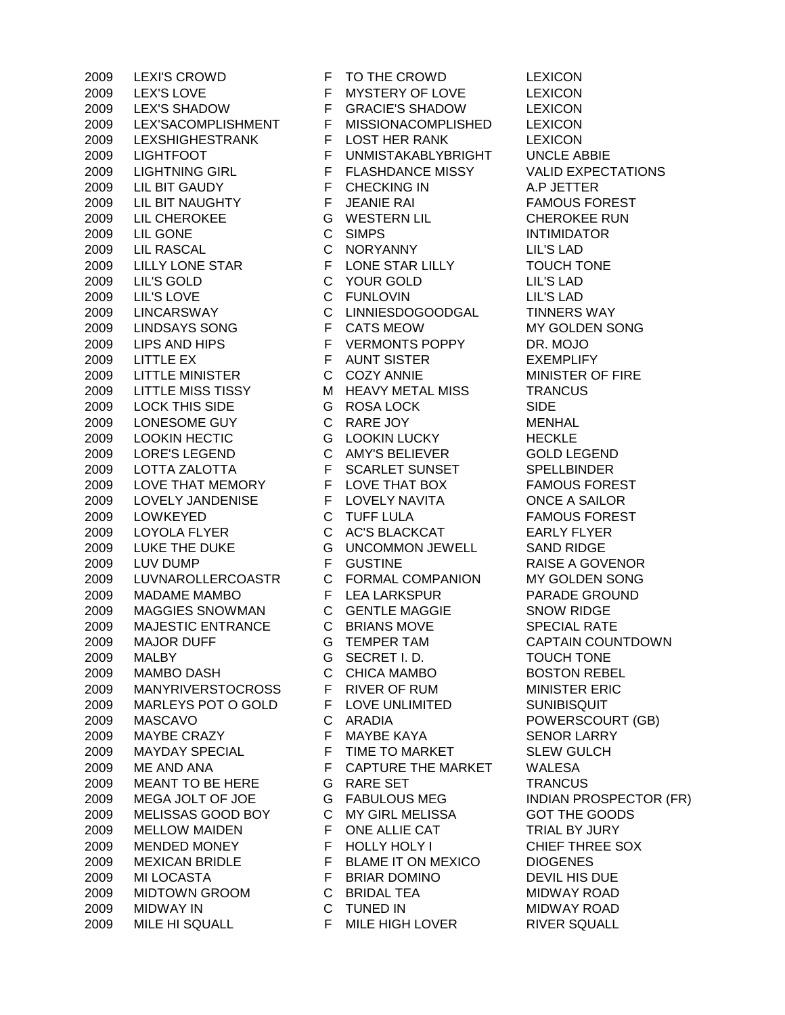LEXI'S CROWD F TO THE CROWD LEXICON 2009 LEX'S LOVE F MYSTERY OF LOVE LEXICON LEX'S SHADOW F GRACIE'S SHADOW LEXICON LEX'SACOMPLISHMENT F MISSIONACOMPLISHED LEXICON LEXSHIGHESTRANK F LOST HER RANK LEXICON LIGHTFOOT F UNMISTAKABLYBRIGHT UNCLE ABBIE LIGHTNING GIRL F FLASHDANCE MISSY VALID EXPECTATIONS LIL BIT GAUDY F CHECKING IN A.P JETTER 2009 LIL BIT NAUGHTY FUEANIE RAI FAMOUS FOREST LIL CHEROKEE G WESTERN LIL CHEROKEE RUN 2009 LIL GONE C SIMPS INTIMIDATOR LIL RASCAL C NORYANNY LIL'S LAD 2009 LILLY LONE STAR F LONE STAR LILLY TOUCH TONE LIL'S GOLD C YOUR GOLD LIL'S LAD LIL'S LOVE C FUNLOVIN LIL'S LAD LINCARSWAY C LINNIESDOGOODGAL TINNERS WAY LINDSAYS SONG F CATS MEOW MY GOLDEN SONG 2009 LIPS AND HIPS F VERMONTS POPPY DR. MOJO LITTLE EX F AUNT SISTER EXEMPLIFY 2009 LITTLE MINISTER C COZY ANNIE MINISTER OF FIRE 2009 LITTLE MISS TISSY M HEAVY METAL MISS TRANCUS LOCK THIS SIDE G ROSA LOCK SIDE 2009 LONESOME GUY C RARE JOY MENHAL 2009 LOOKIN HECTIC G LOOKIN LUCKY HECKLE LORE'S LEGEND C AMY'S BELIEVER GOLD LEGEND LOTTA ZALOTTA F SCARLET SUNSET SPELLBINDER 2009 LOVE THAT MEMORY F LOVE THAT BOX FAMOUS FOREST LOVELY JANDENISE F LOVELY NAVITA ONCE A SAILOR LOWKEYED C TUFF LULA FAMOUS FOREST LOYOLA FLYER C AC'S BLACKCAT EARLY FLYER LUKE THE DUKE G UNCOMMON JEWELL SAND RIDGE 2009 LUV DUMP F GUSTINE RAISE A GOVENOR LUVNAROLLERCOASTR C FORMAL COMPANION MY GOLDEN SONG MADAME MAMBO F LEA LARKSPUR PARADE GROUND MAGGIES SNOWMAN C GENTLE MAGGIE SNOW RIDGE MAJESTIC ENTRANCE C BRIANS MOVE SPECIAL RATE MAJOR DUFF G TEMPER TAM CAPTAIN COUNTDOWN MALBY G SECRET I. D. TOUCH TONE MAMBO DASH C CHICA MAMBO BOSTON REBEL MANYRIVERSTOCROSS F RIVER OF RUM MINISTER ERIC 2009 MARLEYS POT O GOLD F LOVE UNLIMITED SUNIBISQUIT MASCAVO C ARADIA POWERSCOURT (GB) 2009 MAYBE CRAZY F MAYBE KAYA SENOR LARRY MAYDAY SPECIAL F TIME TO MARKET SLEW GULCH 2009 ME AND ANA F CAPTURE THE MARKET WALESA 2009 MEANT TO BE HERE G RARE SET TRANCUS MEGA JOLT OF JOE G FABULOUS MEG INDIAN PROSPECTOR (FR) MELISSAS GOOD BOY C MY GIRL MELISSA GOT THE GOODS 2009 MELLOW MAIDEN F ONE ALLIE CAT TRIAL BY JURY 2009 MENDED MONEY F HOLLY HOLY I CHIEF THREE SOX MEXICAN BRIDLE F BLAME IT ON MEXICO DIOGENES 2009 MI LOCASTA F BRIAR DOMINO DEVIL HIS DUE MIDTOWN GROOM C BRIDAL TEA MIDWAY ROAD MIDWAY IN C TUNED IN MIDWAY ROAD MILE HI SQUALL F MILE HIGH LOVER RIVER SQUALL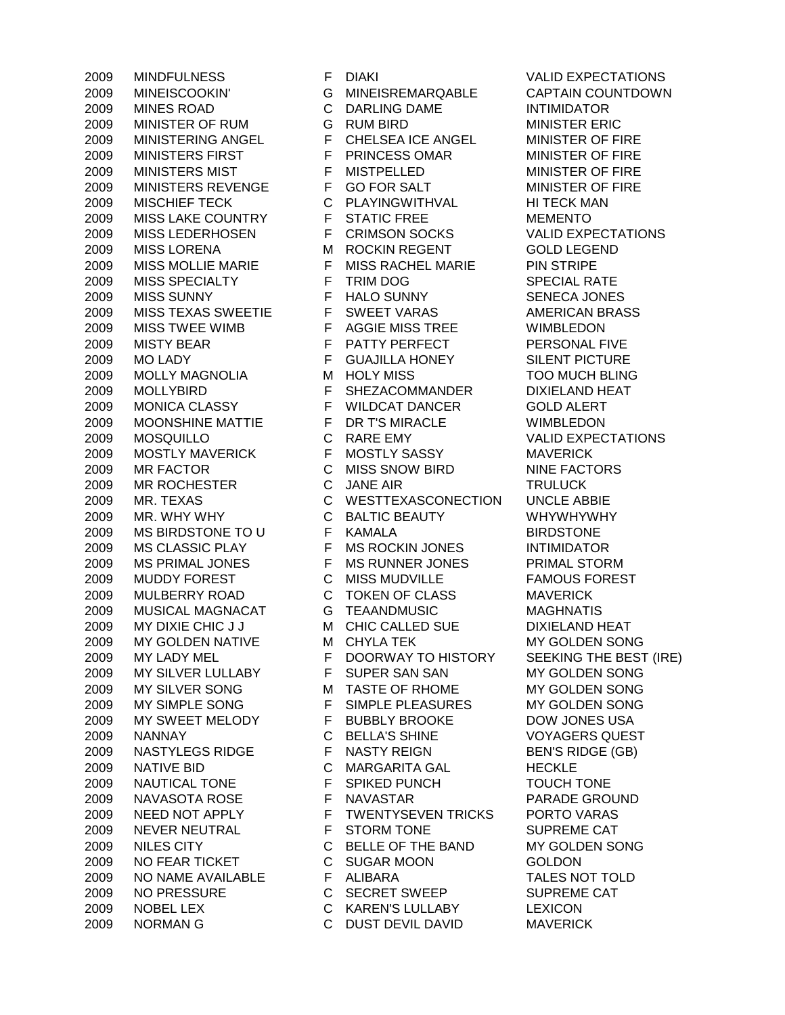MINEISCOOKIN' G MINEISREMARQABLE CAPTAIN COUNTDOWN MINES ROAD C DARLING DAME INTIMIDATOR MINISTER OF RUM G RUM BIRD MINISTER ERIC MINISTERING ANGEL F CHELSEA ICE ANGEL MINISTER OF FIRE 2009 MINISTERS FIRST F PRINCESS OMAR MINISTER OF FIRE 2009 MINISTERS MIST F MISTPELLED F MINISTER OF FIRE 2009 MINISTERS REVENGE F GO FOR SALT MINISTER OF FIRE 2009 MISCHIEF TECK C PLAYINGWITHVAL HI TECK MAN 2009 MISS LAKE COUNTRY F STATIC FREE MEMENTO MISS LEDERHOSEN F CRIMSON SOCKS VALID EXPECTATIONS MISS LORENA M ROCKIN REGENT GOLD LEGEND MISS MOLLIE MARIE F MISS RACHEL MARIE PIN STRIPE 2009 MISS SPECIALTY F TRIM DOG SPECIAL RATE MISS SUNNY F HALO SUNNY SENECA JONES 2009 MISS TEXAS SWEETIE F SWEET VARAS AMERICAN BRASS MISS TWEE WIMB F AGGIE MISS TREE WIMBLEDON 2009 MISTY BEAR F PATTY PERFECT PERSONAL FIVE 2009 MO LADY F GUAJILLA HONEY SILENT PICTURE MOLLY MAGNOLIA M HOLY MISS TOO MUCH BLING MOLLYBIRD F SHEZACOMMANDER DIXIELAND HEAT 2009 MONICA CLASSY F WILDCAT DANCER GOLD ALERT<br>2009 MOONSHINE MATTIE F DR T'S MIRACLE WIMBLEDON MOONSHINE MATTIE F DR T'S MIRACLE WIMBLEDON MOSQUILLO C RARE EMY VALID EXPECTATIONS MOSTLY MAVERICK F MOSTLY SASSY MAVERICK 2009 MR FACTOR C MISS SNOW BIRD NINE FACTORS 2009 MR ROCHESTER C JANE AIR C TRULUCK MR. TEXAS C WESTTEXASCONECTION UNCLE ABBIE MR. WHY WHY C BALTIC BEAUTY WHYWHYWHY 2009 MS BIRDSTONE TO U F KAMALA BIRDSTONE MS CLASSIC PLAY F MS ROCKIN JONES INTIMIDATOR MS PRIMAL JONES F MS RUNNER JONES PRIMAL STORM MUDDY FOREST C MISS MUDVILLE FAMOUS FOREST MULBERRY ROAD C TOKEN OF CLASS MAVERICK MUSICAL MAGNACAT G TEAANDMUSIC MAGHNATIS 2009 MY DIXIE CHIC J J M CHIC CALLED SUE DIXIELAND HEAT 2009 MY GOLDEN NATIVE MCHYLA TEK MY GOLDEN SONG 2009 MY LADY MEL F DOORWAY TO HISTORY SEEKING THE BEST (IRE) MY SILVER LULLABY F SUPER SAN SAN MY GOLDEN SONG 2009 MY SILVER SONG M TASTE OF RHOME MY GOLDEN SONG MY SIMPLE SONG F SIMPLE PLEASURES MY GOLDEN SONG 2009 MY SWEET MELODY F BUBBLY BROOKE DOW JONES USA NANNAY C BELLA'S SHINE VOYAGERS QUEST 2009 NASTYLEGS RIDGE F NASTY REIGN BEN'S RIDGE (GB) NATIVE BID C MARGARITA GAL HECKLE 2009 NAUTICAL TONE F SPIKED PUNCH TOUCH TONE NAVASOTA ROSE F NAVASTAR PARADE GROUND NEED NOT APPLY F TWENTYSEVEN TRICKS PORTO VARAS NEVER NEUTRAL F STORM TONE SUPREME CAT NILES CITY C BELLE OF THE BAND MY GOLDEN SONG NO FEAR TICKET C SUGAR MOON GOLDON 2009 NO NAME AVAILABLE FALIBARA TALES NOT TOLD NO PRESSURE C SECRET SWEEP SUPREME CAT NOBEL LEX C KAREN'S LULLABY LEXICON NORMAN G C DUST DEVIL DAVID MAVERICK

MINDFULNESS F DIAKI VALID EXPECTATIONS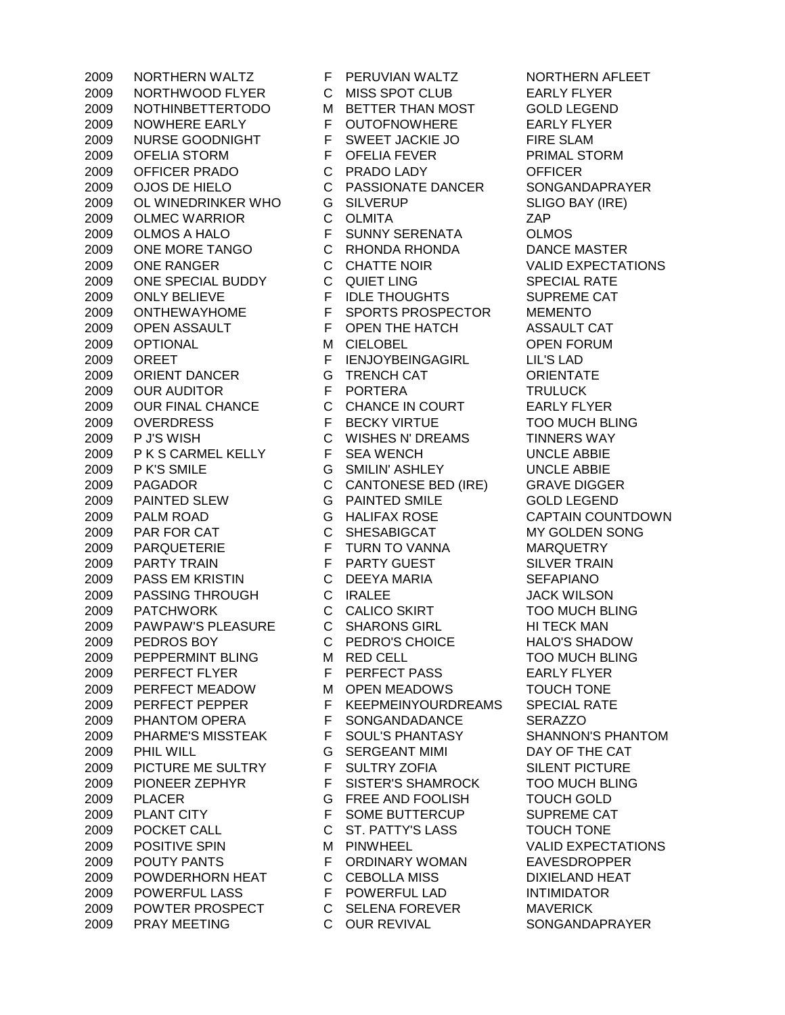NORTHWOOD FLYER C MISS SPOT CLUB EARLY FLYER NOTHINBETTERTODO M BETTER THAN MOST GOLD LEGEND 2009 NOWHERE EARLY F OUTOFNOWHERE EARLY FLYER 2009 NURSE GOODNIGHT F SWEET JACKIE JO FIRE SLAM OFELIA STORM F OFELIA FEVER PRIMAL STORM OFFICER PRADO C PRADO LADY OFFICER OJOS DE HIELO C PASSIONATE DANCER SONGANDAPRAYER 2009 OL WINEDRINKER WHO G SILVERUP SLIGO BAY (IRE) OLMEC WARRIOR C OLMITA ZAP OLMOS A HALO F SUNNY SERENATA OLMOS ONE MORE TANGO C RHONDA RHONDA DANCE MASTER ONE RANGER C CHATTE NOIR VALID EXPECTATIONS ONE SPECIAL BUDDY C QUIET LING SPECIAL RATE ONLY BELIEVE F IDLE THOUGHTS SUPREME CAT ONTHEWAYHOME F SPORTS PROSPECTOR MEMENTO 2009 OPEN ASSAULT FOPEN THE HATCH ASSAULT CAT OPTIONAL M CIELOBEL OPEN FORUM 2009 OREET FIENJOYBEINGAGIRL LIL'S LAD ORIENT DANCER G TRENCH CAT ORIENTATE OUR AUDITOR F PORTERA TRULUCK 2009 OUR FINAL CHANCE C CHANCE IN COURT EARLY FLYER OVERDRESS F BECKY VIRTUE TOO MUCH BLING P J'S WISH C WISHES N' DREAMS TINNERS WAY P K S CARMEL KELLY F SEA WENCH UNCLE ABBIE P K'S SMILE G SMILIN' ASHLEY UNCLE ABBIE 2009 PAGADOR C CANTONESE BED (IRE) GRAVE DIGGER PAINTED SLEW G PAINTED SMILE GOLD LEGEND PALM ROAD G HALIFAX ROSE CAPTAIN COUNTDOWN PAR FOR CAT C SHESABIGCAT MY GOLDEN SONG PARQUETERIE F TURN TO VANNA MARQUETRY 2009 PARTY TRAIN F PARTY GUEST SILVER TRAIN PASS EM KRISTIN C DEEYA MARIA SEFAPIANO 2009 PASSING THROUGH C IRALEE JACK WILSON PATCHWORK C CALICO SKIRT TOO MUCH BLING PAWPAW'S PLEASURE C SHARONS GIRL HI TECK MAN PEDROS BOY C PEDRO'S CHOICE HALO'S SHADOW PEPPERMINT BLING M RED CELL TOO MUCH BLING PERFECT FLYER F PERFECT PASS EARLY FLYER PERFECT MEADOW M OPEN MEADOWS TOUCH TONE 2009 PERFECT PEPPER F KEEPMEINYOURDREAMS SPECIAL RATE<br>2009 PHANTOM OPERA F SONGANDADANCE SERAZZO PHANTOM OPERA F SONGANDADANCE SERAZZO PHARME'S MISSTEAK F SOUL'S PHANTASY SHANNON'S PHANTOM PHIL WILL G SERGEANT MIMI DAY OF THE CAT 2009 PICTURE ME SULTRY F SULTRY ZOFIA SILENT PICTURE PIONEER ZEPHYR F SISTER'S SHAMROCK TOO MUCH BLING PLACER G FREE AND FOOLISH TOUCH GOLD PLANT CITY F SOME BUTTERCUP SUPREME CAT POCKET CALL C ST. PATTY'S LASS TOUCH TONE POSITIVE SPIN M PINWHEEL VALID EXPECTATIONS 2009 POUTY PANTS FORDINARY WOMAN EAVESDROPPER 2009 POWDERHORN HEAT C CEBOLLA MISS DIXIELAND HEAT POWERFUL LASS F POWERFUL LAD INTIMIDATOR POWTER PROSPECT C SELENA FOREVER MAVERICK PRAY MEETING C OUR REVIVAL SONGANDAPRAYER

2009 NORTHERN WALTZ F PERUVIAN WALTZ NORTHERN AFLEET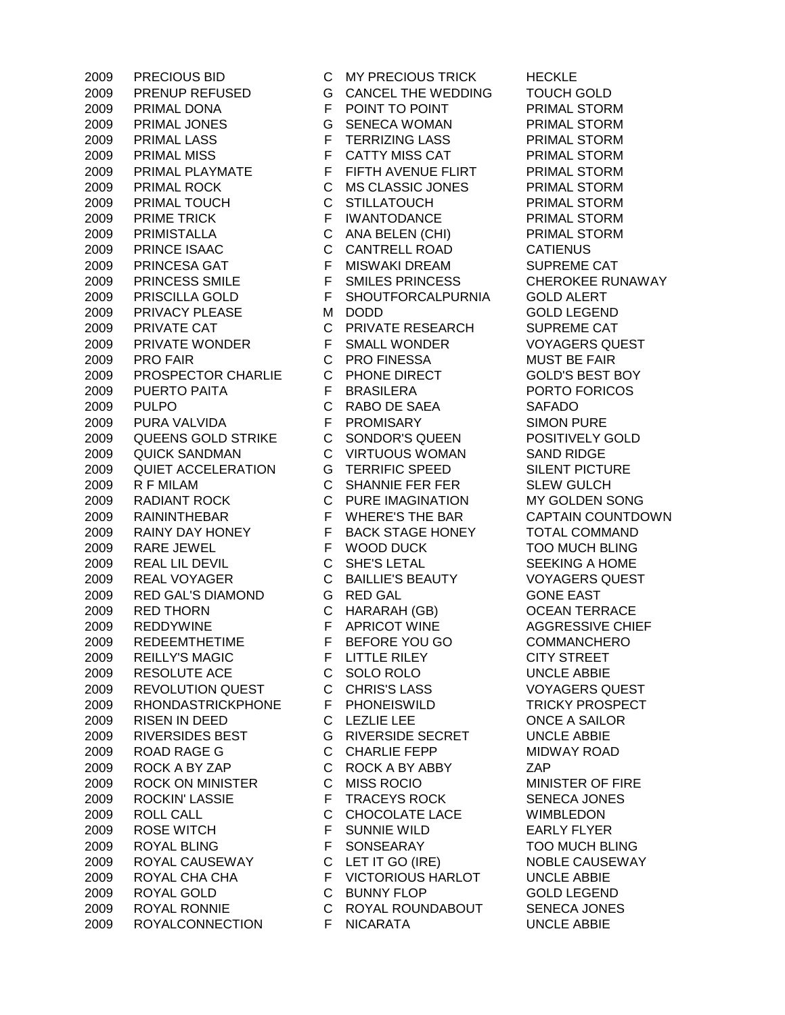PRECIOUS BID C MY PRECIOUS TRICK HECKLE PRENUP REFUSED G CANCEL THE WEDDING TOUCH GOLD PRIMAL DONA F POINT TO POINT PRIMAL STORM PRIMAL JONES G SENECA WOMAN PRIMAL STORM PRIMAL LASS F TERRIZING LASS PRIMAL STORM 2009 PRIMAL MISS **F** CATTY MISS CAT PRIMAL STORM 2009 PRIMAL PLAYMATE F FIFTH AVENUE FLIRT PRIMAL STORM PRIMAL ROCK C MS CLASSIC JONES PRIMAL STORM PRIMAL TOUCH C STILLATOUCH PRIMAL STORM 2009 PRIME TRICK F IWANTODANCE PRIMAL STORM PRIMISTALLA C ANA BELEN (CHI) PRIMAL STORM PRINCE ISAAC C CANTRELL ROAD CATIENUS 2009 PRINCESA GAT F MISWAKI DREAM SUPREME CAT PRINCESS SMILE F SMILES PRINCESS CHEROKEE RUNAWAY PRISCILLA GOLD F SHOUTFORCALPURNIA GOLD ALERT 2009 PRIVACY PLEASE M DODD GOLD LEGEND PRIVATE CAT C PRIVATE RESEARCH SUPREME CAT PRIVATE WONDER F SMALL WONDER VOYAGERS QUEST PRO FAIR C PRO FINESSA MUST BE FAIR PROSPECTOR CHARLIE C PHONE DIRECT GOLD'S BEST BOY 2009 PUERTO PAITA F BRASILERA PORTO FORICOS PULPO C RABO DE SAEA SAFADO PURA VALVIDA F PROMISARY SIMON PURE QUEENS GOLD STRIKE C SONDOR'S QUEEN POSITIVELY GOLD QUICK SANDMAN C VIRTUOUS WOMAN SAND RIDGE QUIET ACCELERATION G TERRIFIC SPEED SILENT PICTURE R F MILAM C SHANNIE FER FER SLEW GULCH RADIANT ROCK C PURE IMAGINATION MY GOLDEN SONG RAININTHEBAR F WHERE'S THE BAR CAPTAIN COUNTDOWN RAINY DAY HONEY F BACK STAGE HONEY TOTAL COMMAND RARE JEWEL F WOOD DUCK TOO MUCH BLING REAL LIL DEVIL C SHE'S LETAL SEEKING A HOME REAL VOYAGER C BAILLIE'S BEAUTY VOYAGERS QUEST RED GAL'S DIAMOND G RED GAL GONE EAST 2009 RED THORN C HARARAH (GB) OCEAN TERRACE 2009 REDDYWINE F APRICOT WINE AGGRESSIVE CHIEF REDEEMTHETIME F BEFORE YOU GO COMMANCHERO 2009 REILLY'S MAGIC F LITTLE RILEY CITY STREET RESOLUTE ACE C SOLO ROLO UNCLE ABBIE REVOLUTION QUEST C CHRIS'S LASS VOYAGERS QUEST RHONDASTRICKPHONE F PHONEISWILD TRICKY PROSPECT RISEN IN DEED C LEZLIE LEE ONCE A SAILOR RIVERSIDES BEST G RIVERSIDE SECRET UNCLE ABBIE ROAD RAGE G C CHARLIE FEPP MIDWAY ROAD ROCK A BY ZAP C ROCK A BY ABBY ZAP ROCK ON MINISTER C MISS ROCIO MINISTER OF FIRE ROCKIN' LASSIE F TRACEYS ROCK SENECA JONES ROLL CALL C CHOCOLATE LACE WIMBLEDON ROSE WITCH F SUNNIE WILD EARLY FLYER ROYAL BLING F SONSEARAY TOO MUCH BLING 2009 ROYAL CAUSEWAY C LET IT GO (IRE) NOBLE CAUSEWAY ROYAL CHA CHA F VICTORIOUS HARLOT UNCLE ABBIE ROYAL GOLD C BUNNY FLOP GOLD LEGEND ROYAL RONNIE C ROYAL ROUNDABOUT SENECA JONES ROYALCONNECTION F NICARATA UNCLE ABBIE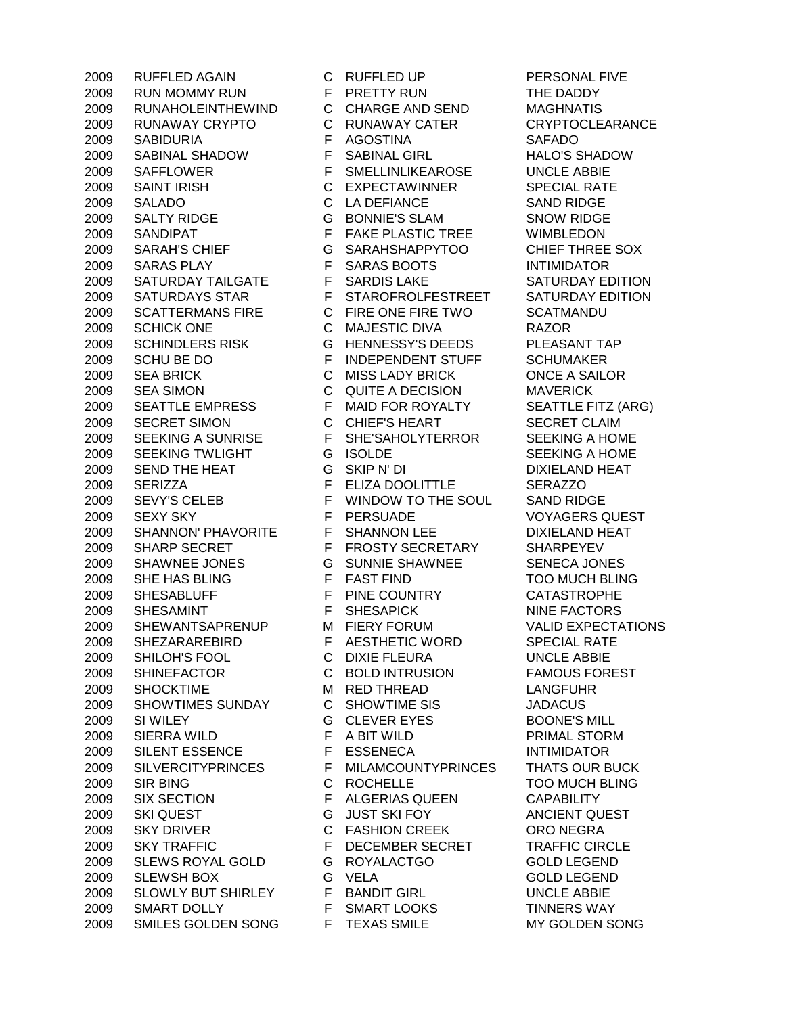RUN MOMMY RUN F PRETTY RUN THE DADDY RUNAHOLEINTHEWIND C CHARGE AND SEND MAGHNATIS RUNAWAY CRYPTO C RUNAWAY CATER CRYPTOCLEARANCE SABIDURIA F AGOSTINA SAFADO SABINAL SHADOW F SABINAL GIRL HALO'S SHADOW SAFFLOWER F SMELLINLIKEAROSE UNCLE ABBIE SAINT IRISH C EXPECTAWINNER SPECIAL RATE SALADO C LA DEFIANCE SAND RIDGE SALTY RIDGE G BONNIE'S SLAM SNOW RIDGE SANDIPAT F FAKE PLASTIC TREE WIMBLEDON SARAH'S CHIEF G SARAHSHAPPYTOO CHIEF THREE SOX SARAS PLAY F SARAS BOOTS INTIMIDATOR 2009 SATURDAY TAILGATE F SARDIS LAKE SATURDAY EDITION SATURDAYS STAR F STAROFROLFESTREET SATURDAY EDITION SCATTERMANS FIRE C FIRE ONE FIRE TWO SCATMANDU SCHICK ONE C MAJESTIC DIVA RAZOR SCHINDLERS RISK G HENNESSY'S DEEDS PLEASANT TAP 2009 SCHU BE DO FINDEPENDENT STUFF SCHUMAKER SEA BRICK C MISS LADY BRICK ONCE A SAILOR SEA SIMON C QUITE A DECISION MAVERICK 2009 SEATTLE EMPRESS F MAID FOR ROYALTY SEATTLE FITZ (ARG) 2009 SECRET SIMON C CHIEF'S HEART SECRET CLAIM 2009 SEEKING A SUNRISE F SHE'SAHOLYTERROR SEEKING A HOME 2009 SEEKING TWLIGHT G ISOLDE SEEKING A HOME SEND THE HEAT G SKIP N' DI DIXIELAND HEAT SERIZZA F ELIZA DOOLITTLE SERAZZO 2009 SEVY'S CELEB F WINDOW TO THE SOUL SAND RIDGE 2009 SEXY SKY F PERSUADE VOYAGERS QUEST SHANNON' PHAVORITE F SHANNON LEE DIXIELAND HEAT 2009 SHARP SECRET F FROSTY SECRETARY SHARPEYEV SHAWNEE JONES G SUNNIE SHAWNEE SENECA JONES SHE HAS BLING F FAST FIND TOO MUCH BLING 2009 SHESABLUFF F PINE COUNTRY CATASTROPHE 2009 SHESAMINT F SHESAPICK NINE FACTORS SHEWANTSAPRENUP M FIERY FORUM VALID EXPECTATIONS SHEZARAREBIRD F AESTHETIC WORD SPECIAL RATE SHILOH'S FOOL C DIXIE FLEURA UNCLE ABBIE SHINEFACTOR C BOLD INTRUSION FAMOUS FOREST SHOCKTIME M RED THREAD LANGFUHR SHOWTIMES SUNDAY C SHOWTIME SIS JADACUS SI WILEY G CLEVER EYES BOONE'S MILL SIERRA WILD F A BIT WILD PRIMAL STORM SILENT ESSENCE F ESSENECA INTIMIDATOR SILVERCITYPRINCES F MILAMCOUNTYPRINCES THATS OUR BUCK SIR BING C ROCHELLE TOO MUCH BLING SIX SECTION F ALGERIAS QUEEN CAPABILITY SKI QUEST G JUST SKI FOY ANCIENT QUEST SKY DRIVER C FASHION CREEK ORO NEGRA 2009 SKY TRAFFIC F DECEMBER SECRET TRAFFIC CIRCLE SLEWS ROYAL GOLD G ROYALACTGO GOLD LEGEND SLEWSH BOX G VELA GOLD LEGEND SLOWLY BUT SHIRLEY F BANDIT GIRL UNCLE ABBIE SMART DOLLY F SMART LOOKS TINNERS WAY SMILES GOLDEN SONG F TEXAS SMILE MY GOLDEN SONG

RUFFLED AGAIN C RUFFLED UP PERSONAL FIVE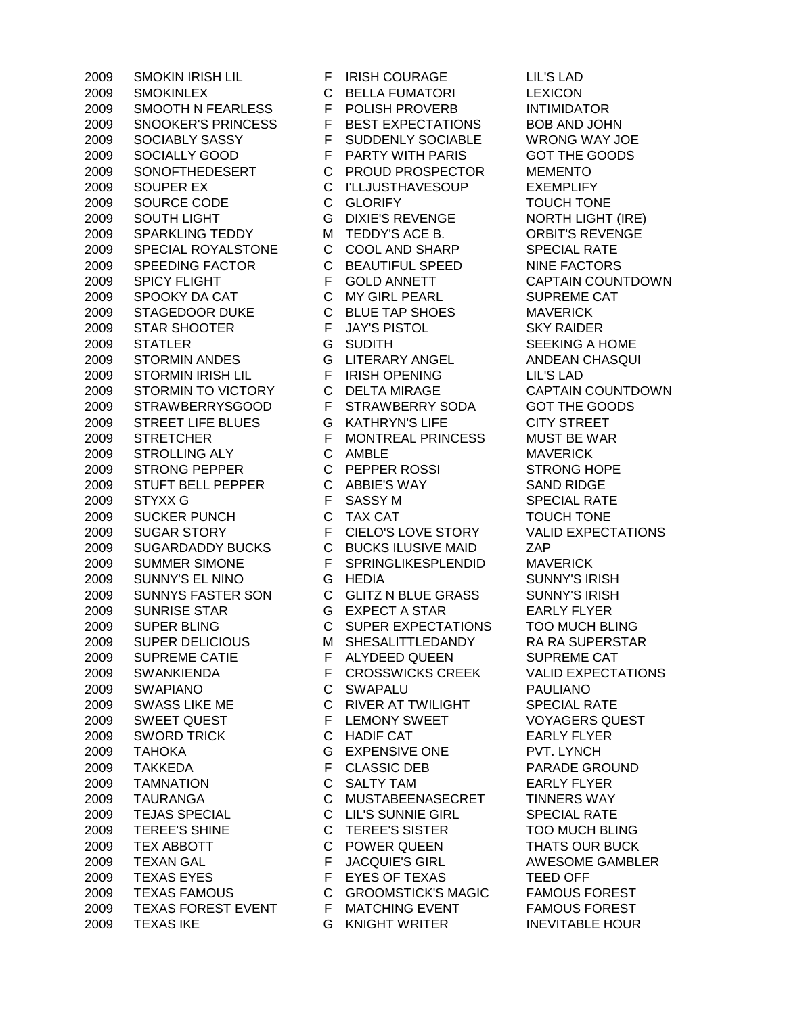SMOKINLEX C BELLA FUMATORI LEXICON SMOOTH N FEARLESS F POLISH PROVERB INTIMIDATOR SNOOKER'S PRINCESS F BEST EXPECTATIONS BOB AND JOHN SOCIABLY SASSY F SUDDENLY SOCIABLE WRONG WAY JOE SOCIALLY GOOD F PARTY WITH PARIS GOT THE GOODS SONOFTHEDESERT C PROUD PROSPECTOR MEMENTO SOUPER EX C I'LLJUSTHAVESOUP EXEMPLIFY SOURCE CODE C GLORIFY TOUCH TONE SOUTH LIGHT G DIXIE'S REVENGE NORTH LIGHT (IRE) 2009 SPARKLING TEDDY M TEDDY'S ACE B. ORBIT'S REVENGE 2009 SPECIAL ROYALSTONE C COOL AND SHARP SPECIAL RATE 2009 SPEEDING FACTOR C BEAUTIFUL SPEED NINE FACTORS 2009 SPICY FLIGHT F GOLD ANNETT CAPTAIN COUNTDOWN SPOOKY DA CAT C MY GIRL PEARL SUPREME CAT STAGEDOOR DUKE C BLUE TAP SHOES MAVERICK STAR SHOOTER F JAY'S PISTOL SKY RAIDER 2009 STATLER G SUDITH SEEKING A HOME STORMIN ANDES G LITERARY ANGEL ANDEAN CHASQUI STORMIN IRISH LIL F IRISH OPENING LIL'S LAD STORMIN TO VICTORY C DELTA MIRAGE CAPTAIN COUNTDOWN STRAWBERRYSGOOD F STRAWBERRY SODA GOT THE GOODS STREET LIFE BLUES G KATHRYN'S LIFE CITY STREET STRETCHER F MONTREAL PRINCESS MUST BE WAR 2009 STROLLING ALY CAMBLE CONDUCTED MAVERICK 2009 STRONG PEPPER C PEPPER ROSSI STRONG HOPE STUFT BELL PEPPER C ABBIE'S WAY SAND RIDGE STYXX G F SASSY M SPECIAL RATE 2009 SUCKER PUNCH C TAX CAT TOUCH TONE SUGAR STORY F CIELO'S LOVE STORY VALID EXPECTATIONS SUGARDADDY BUCKS C BUCKS ILUSIVE MAID ZAP SUMMER SIMONE F SPRINGLIKESPLENDID MAVERICK SUNNY'S EL NINO G HEDIA SUNNY'S IRISH 2009 SUNNYS FASTER SON C GLITZ N BLUE GRASS SUNNY'S IRISH SUNRISE STAR G EXPECT A STAR EARLY FLYER SUPER BLING C SUPER EXPECTATIONS TOO MUCH BLING 2009 SUPER DELICIOUS MSHESALITTLEDANDY RA RA SUPERSTAR 2009 SUPREME CATIE F ALYDEED QUEEN SUPREME CAT SWANKIENDA F CROSSWICKS CREEK VALID EXPECTATIONS SWAPIANO C SWAPALU PAULIANO 2009 SWASS LIKE ME C RIVER AT TWILIGHT SPECIAL RATE 2009 SWEET QUEST F LEMONY SWEET VOYAGERS QUEST SWORD TRICK C HADIF CAT EARLY FLYER TAHOKA G EXPENSIVE ONE PVT. LYNCH TAKKEDA F CLASSIC DEB PARADE GROUND TAMNATION C SALTY TAM EARLY FLYER TAURANGA C MUSTABEENASECRET TINNERS WAY TEJAS SPECIAL C LIL'S SUNNIE GIRL SPECIAL RATE TEREE'S SHINE C TEREE'S SISTER TOO MUCH BLING 2009 TEX ABBOTT C POWER QUEEN THATS OUR BUCK TEXAN GAL F JACQUIE'S GIRL AWESOME GAMBLER 2009 TEXAS EYES F EYES OF TEXAS TEED OFF TEXAS FAMOUS C GROOMSTICK'S MAGIC FAMOUS FOREST 2009 TEXAS FOREST EVENT F MATCHING EVENT FAMOUS FOREST TEXAS IKE G KNIGHT WRITER INEVITABLE HOUR

SMOKIN IRISH LIL F IRISH COURAGE LIL'S LAD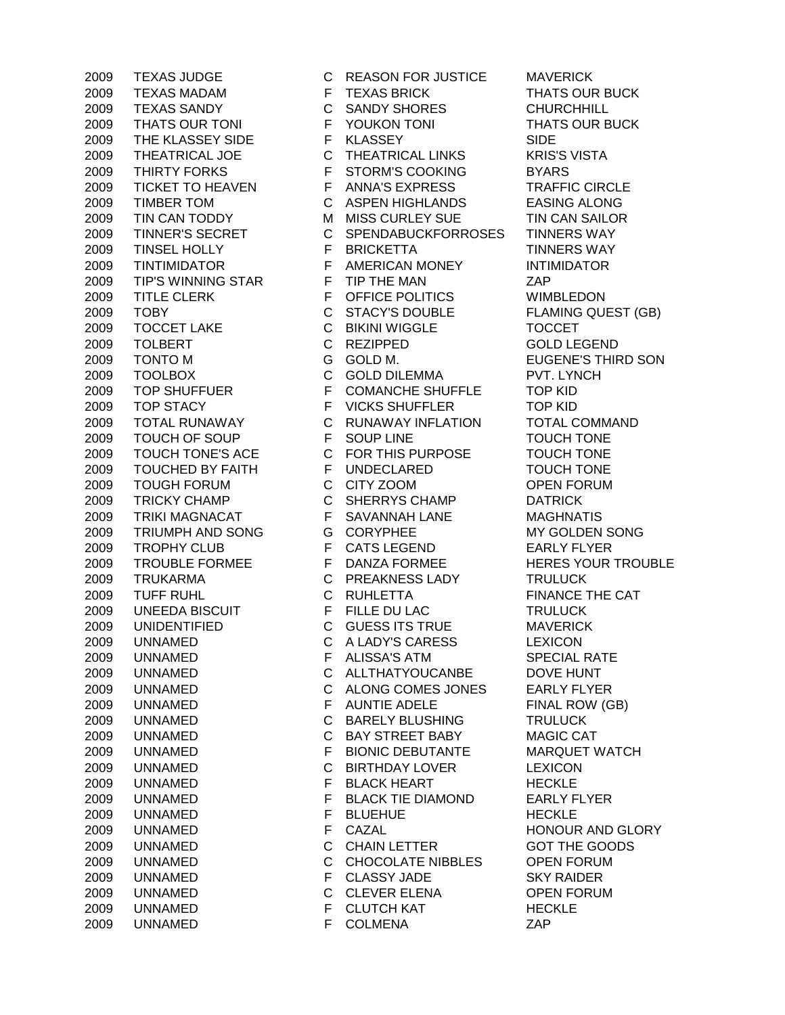TEXAS MADAM F TEXAS BRICK THATS OUR BUCK TEXAS SANDY C SANDY SHORES CHURCHHILL THATS OUR TONI F YOUKON TONI THATS OUR BUCK 2009 THE KLASSEY SIDE F KLASSEY SIDE THEATRICAL JOE C THEATRICAL LINKS KRIS'S VISTA 2009 THIRTY FORKS F STORM'S COOKING BYARS TICKET TO HEAVEN F ANNA'S EXPRESS TRAFFIC CIRCLE TIMBER TOM C ASPEN HIGHLANDS EASING ALONG 2009 TIN CAN TODDY M MISS CURLEY SUE TIN CAN SAILOR 2009 TINNER'S SECRET C SPENDABUCKFORROSES TINNERS WAY TINSEL HOLLY F BRICKETTA TINNERS WAY TINTIMIDATOR F AMERICAN MONEY INTIMIDATOR TIP'S WINNING STAR F TIP THE MAN ZAP 2009 TITLE CLERK F OFFICE POLITICS WIMBLEDON TOBY C STACY'S DOUBLE FLAMING QUEST (GB) TOCCET LAKE C BIKINI WIGGLE TOCCET TOLBERT C REZIPPED GOLD LEGEND TONTO M G GOLD M. EUGENE'S THIRD SON TOOLBOX C GOLD DILEMMA PVT. LYNCH TOP SHUFFUER F COMANCHE SHUFFLE TOP KID 2009 TOP STACY F VICKS SHUFFLER TOP KID TOTAL RUNAWAY C RUNAWAY INFLATION TOTAL COMMAND 2009 TOUCH OF SOUP **F** SOUP LINE **IDENTIFY TOUCH TONE**  TOUCH TONE'S ACE C FOR THIS PURPOSE TOUCH TONE 2009 TOUCHED BY FAITH F UNDECLARED TOUCH TONE TOUGH FORUM C CITY ZOOM OPEN FORUM TRICKY CHAMP C SHERRYS CHAMP DATRICK 2009 TRIKI MAGNACAT F SAVANNAH LANE MAGHNATIS 2009 TRIUMPH AND SONG GORYPHEE MY GOLDEN SONG 2009 TROPHY CLUB F CATS LEGEND EARLY FLYER 2009 TROUBLE FORMEE FINALLY FINANZA FORMEE FORME HERES YOUR TROUBLE TRUKARMA C PREAKNESS LADY TRULUCK 2009 TUFF RUHL C RUHLETTA FINANCE THE CAT 2009 UNEEDA BISCUIT FFILLE DU LAC TRULUCK UNIDENTIFIED C GUESS ITS TRUE MAVERICK UNNAMED C A LADY'S CARESS LEXICON UNNAMED F ALISSA'S ATM SPECIAL RATE UNNAMED C ALLTHATYOUCANBE DOVE HUNT UNNAMED C ALONG COMES JONES EARLY FLYER 2009 UNNAMED F AUNTIE ADELE FINAL ROW (GB) UNNAMED C BARELY BLUSHING TRULUCK UNNAMED C BAY STREET BABY MAGIC CAT UNNAMED F BIONIC DEBUTANTE MARQUET WATCH UNNAMED C BIRTHDAY LOVER LEXICON 2009 UNNAMED F BLACK HEART HECKLE UNNAMED F BLACK TIE DIAMOND EARLY FLYER 2009 UNNAMED F BLUEHUE HECKLE 2009 UNNAMED F CAZAL HONOUR AND GLORY UNNAMED C CHAIN LETTER GOT THE GOODS UNNAMED C CHOCOLATE NIBBLES OPEN FORUM UNNAMED F CLASSY JADE SKY RAIDER UNNAMED C CLEVER ELENA OPEN FORUM 2009 UNNAMED F CLUTCH KAT HECKLE 2009 UNNAMED F COLMENA ZAP

TEXAS JUDGE C REASON FOR JUSTICE MAVERICK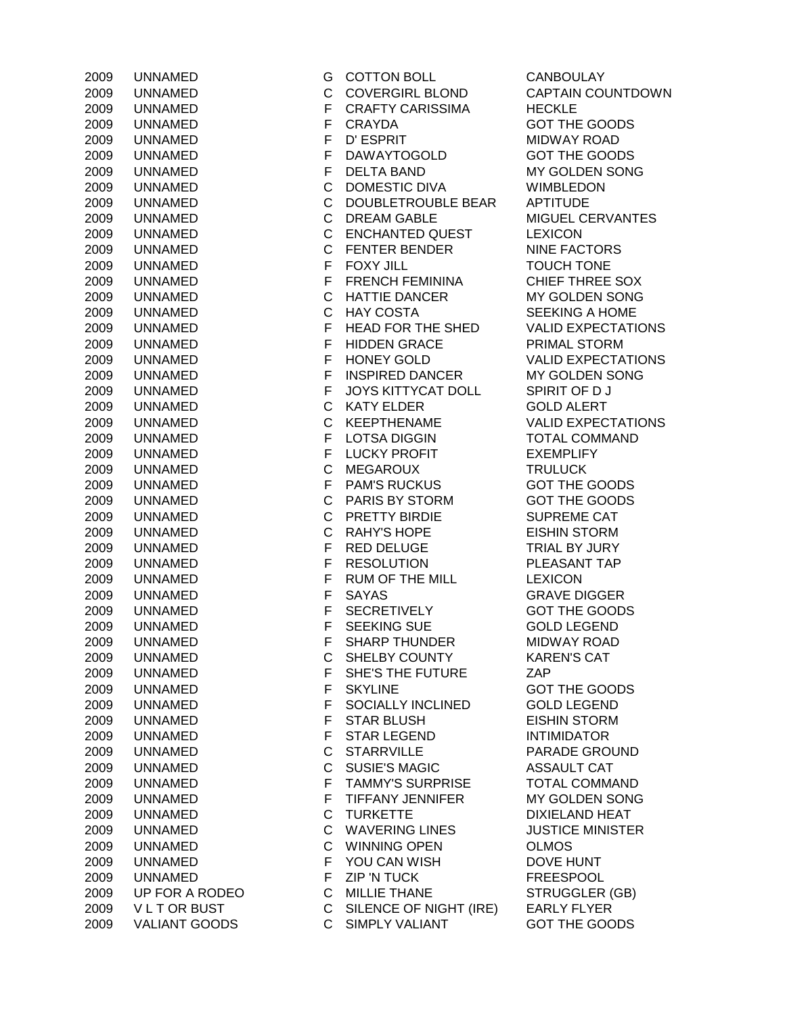| 2009  | UNNAMED              |
|-------|----------------------|
| 2009  | UNNAMED              |
| 2009  | UNNAMED              |
| 2009  | UNNAMED              |
| 2009  | UNNAMED              |
| 2009  | UNNAMED              |
| 2009  | UNNAMED              |
| 2009  | <b>UNNAMED</b>       |
|       | ED.                  |
| 2009  | UNNAME               |
| 2009. | UNNAMED              |
| 2009  | UNNAMED              |
| 2009  | UNNAMED              |
| 2009  | UNNAMED              |
| 2009  | UNNAMED              |
| 2009  | UNNAMED              |
| 2009  | UNNAMED              |
| 2009  | <b>UNNAMED</b>       |
| 2009  | UNNAMED              |
| 2009  | UNNAMED              |
| 2009  | <b>UNNAMED</b>       |
| 2009  | UNNAMED              |
|       |                      |
| 2009  | UNNAMED              |
| 2009  | UNNAMED              |
| 2009  | UNNAMED              |
| 2009  | UNNAMED              |
| 2009  | UNNAMED              |
| 2009  | UNNAMED              |
| 2009  | UNNAMED              |
| 2009  | <b>UNNAMED</b>       |
| 2009  | <b>UNNAMED</b>       |
| 2009  | UNNAMED              |
| 2009  | <b>UNNAMED</b>       |
| 2009  | ED.<br><b>UNNAME</b> |
| 2009. | :D<br><b>UNNAME</b>  |
| 2009. | <b>UNNAMED</b>       |
|       |                      |
| 2009  | UNNAMED              |
| 2009  | UNNAMED              |
| 2009  | UNNAMED              |
| 2009  | UNNAMED              |
| 2009  | UNNAMED              |
| 2009  | <b>UNNAMED</b>       |
| 2009  | <b>UNNAMED</b>       |
| 2009  | UNNAMED              |
| 2009  | UNNAMED              |
| 2009  | UNNAMED              |
| 2009  | UNNAMED              |
| 2009  | UNNAMED              |
| 2009  | UNNAMED              |
| 2009  | UNNAMED              |
|       |                      |
| 2009  | UNNAMED              |
| 2009  | UNNAMED              |
| 2009  | <b>UNNAMED</b>       |
| 2009  | UP FOR A ROI         |
| 2009  | VLTOR BUST           |
| 2009  | <b>VALIANT GOO</b>   |

G COTTON BOLL CANBOULAY C COVERGIRL BLOND CAPTAIN COUNTDOWN F CRAFTY CARISSIMA HECKLE F CRAYDA GOT THE GOODS 2009 UNNAMED F D' ESPRIT MIDWAY ROAD F DAWAYTOGOLD GOT THE GOODS F DELTA BAND MY GOLDEN SONG C DOMESTIC DIVA WIMBLEDON C DOUBLETROUBLE BEAR APTITUDE C DREAM GABLE MIGUEL CERVANTES C ENCHANTED QUEST LEXICON C FENTER BENDER NINE FACTORS F FOXY JILL TOUCH TONE F FRENCH FEMININA CHIEF THREE SOX C HATTIE DANCER MY GOLDEN SONG C HAY COSTA SEEKING A HOME F HEAD FOR THE SHED VALID EXPECTATIONS F HIDDEN GRACE PRIMAL STORM F HONEY GOLD VALID EXPECTATIONS F INSPIRED DANCER MY GOLDEN SONG F JOYS KITTYCAT DOLL SPIRIT OF D J C KATY ELDER GOLD ALERT C KEEPTHENAME VALID EXPECTATIONS F LOTSA DIGGIN TOTAL COMMAND **2009 F LUCKY PROFIT EXEMPLIFY** C MEGAROUX TRULUCK F PAM'S RUCKUS GOT THE GOODS C PARIS BY STORM GOT THE GOODS C PRETTY BIRDIE SUPREME CAT C RAHY'S HOPE EISHIN STORM **2009 F RED DELUGE TRIAL BY JURY** F RESOLUTION PLEASANT TAP F RUM OF THE MILL LEXICON **2009 PE SAYAS GRAVE DIGGER** F SECRETIVELY GOT THE GOODS F SEEKING SUE GOLD LEGEND F SHARP THUNDER MIDWAY ROAD C SHELBY COUNTY KAREN'S CAT F SHE'S THE FUTURE ZAP F SKYLINE GOT THE GOODS F SOCIALLY INCLINED GOLD LEGEND F STAR BLUSH EISHIN STORM F STAR LEGEND INTIMIDATOR C STARRVILLE PARADE GROUND C SUSIE'S MAGIC ASSAULT CAT F TAMMY'S SURPRISE TOTAL COMMAND F TIFFANY JENNIFER MY GOLDEN SONG C TURKETTE DIXIELAND HEAT C WAVERING LINES JUSTICE MINISTER C WINNING OPEN OLMOS F YOU CAN WISH DOVE HUNT F ZIP 'N TUCK FREESPOOL 2009 UP THANE C MILLIE THANE STRUGGLER (GB) C SILENCE OF NIGHT (IRE) EARLY FLYER DS C SIMPLY VALIANT GOT THE GOODS